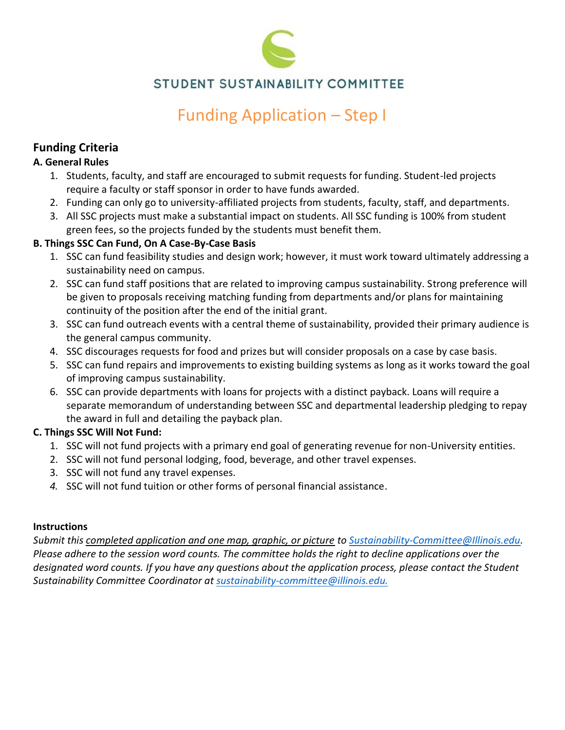

# STUDENT SUSTAINABILITY COMMITTEE

# Funding Application – Step I

## **Funding Criteria**

#### **A. General Rules**

- 1. Students, faculty, and staff are encouraged to submit requests for funding. Student-led projects require a faculty or staff sponsor in order to have funds awarded.
- 2. Funding can only go to university-affiliated projects from students, faculty, staff, and departments.
- 3. All SSC projects must make a substantial impact on students. All SSC funding is 100% from student green fees, so the projects funded by the students must benefit them.

## **B. Things SSC Can Fund, On A Case-By-Case Basis**

- 1. SSC can fund feasibility studies and design work; however, it must work toward ultimately addressing a sustainability need on campus.
- 2. SSC can fund staff positions that are related to improving campus sustainability. Strong preference will be given to proposals receiving matching funding from departments and/or plans for maintaining continuity of the position after the end of the initial grant.
- 3. SSC can fund outreach events with a central theme of sustainability, provided their primary audience is the general campus community.
- 4. SSC discourages requests for food and prizes but will consider proposals on a case by case basis.
- 5. SSC can fund repairs and improvements to existing building systems as long as it works toward the goal of improving campus sustainability.
- 6. SSC can provide departments with loans for projects with a distinct payback. Loans will require a separate memorandum of understanding between SSC and departmental leadership pledging to repay the award in full and detailing the payback plan.

## **C. Things SSC Will Not Fund:**

- 1. SSC will not fund projects with a primary end goal of generating revenue for non-University entities.
- 2. SSC will not fund personal lodging, food, beverage, and other travel expenses.
- 3. SSC will not fund any travel expenses.
- *4.* SSC will not fund tuition or other forms of personal financial assistance.

#### **Instructions**

*Submit this completed application and one map, graphic, or picture to [Sustainability-Committee@Illinois.edu.](mailto:Sustainability-Committee@Illinois.edu) Please adhere to the session word counts. The committee holds the right to decline applications over the designated word counts. If you have any questions about the application process, please contact the Student Sustainability Committee Coordinator at [sustainability-committee@illinois.edu.](mailto:sustainability-committee@illinois.edu.)*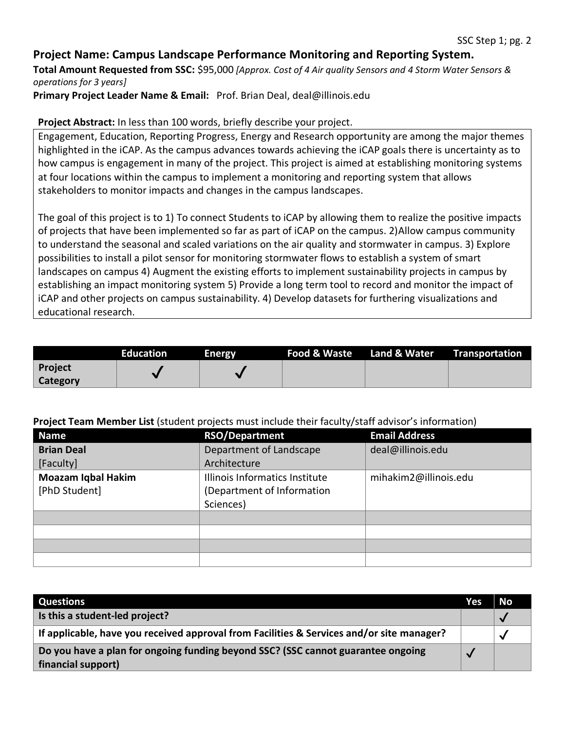## **Project Name: Campus Landscape Performance Monitoring and Reporting System.**

**Total Amount Requested from SSC:** \$95,000 *[Approx. Cost of 4 Air quality Sensors and 4 Storm Water Sensors & operations for 3 years]*

**Primary Project Leader Name & Email:** Prof. Brian Deal, deal@illinois.edu

#### **Project Abstract:** In less than 100 words, briefly describe your project.

Engagement, Education, Reporting Progress, Energy and Research opportunity are among the major themes highlighted in the iCAP. As the campus advances towards achieving the iCAP goals there is uncertainty as to how campus is engagement in many of the project. This project is aimed at establishing monitoring systems at four locations within the campus to implement a monitoring and reporting system that allows stakeholders to monitor impacts and changes in the campus landscapes.

The goal of this project is to 1) To connect Students to iCAP by allowing them to realize the positive impacts of projects that have been implemented so far as part of iCAP on the campus. 2)Allow campus community to understand the seasonal and scaled variations on the air quality and stormwater in campus. 3) Explore possibilities to install a pilot sensor for monitoring stormwater flows to establish a system of smart landscapes on campus 4) Augment the existing efforts to implement sustainability projects in campus by establishing an impact monitoring system 5) Provide a long term tool to record and monitor the impact of iCAP and other projects on campus sustainability. 4) Develop datasets for furthering visualizations and educational research.

|                            | <b>Education</b> | <b>Energy</b> |  | Food & Waste Land & Water Transportation |
|----------------------------|------------------|---------------|--|------------------------------------------|
| Project<br><b>Category</b> |                  |               |  |                                          |

#### **Project Team Member List** (student projects must include their faculty/staff advisor's information)

| <b>Name</b>               | . .<br><b>RSO/Department</b>   | <b>Email Address</b>  |
|---------------------------|--------------------------------|-----------------------|
| <b>Brian Deal</b>         | Department of Landscape        | deal@illinois.edu     |
| [Faculty]                 | Architecture                   |                       |
| <b>Moazam Iqbal Hakim</b> | Illinois Informatics Institute | mihakim2@illinois.edu |
| [PhD Student]             | (Department of Information     |                       |
|                           | Sciences)                      |                       |
|                           |                                |                       |
|                           |                                |                       |
|                           |                                |                       |
|                           |                                |                       |

| <b>Questions</b>                                                                          | Yes | No |
|-------------------------------------------------------------------------------------------|-----|----|
| Is this a student-led project?                                                            |     |    |
| If applicable, have you received approval from Facilities & Services and/or site manager? |     |    |
| Do you have a plan for ongoing funding beyond SSC? (SSC cannot guarantee ongoing          |     |    |
| financial support)                                                                        |     |    |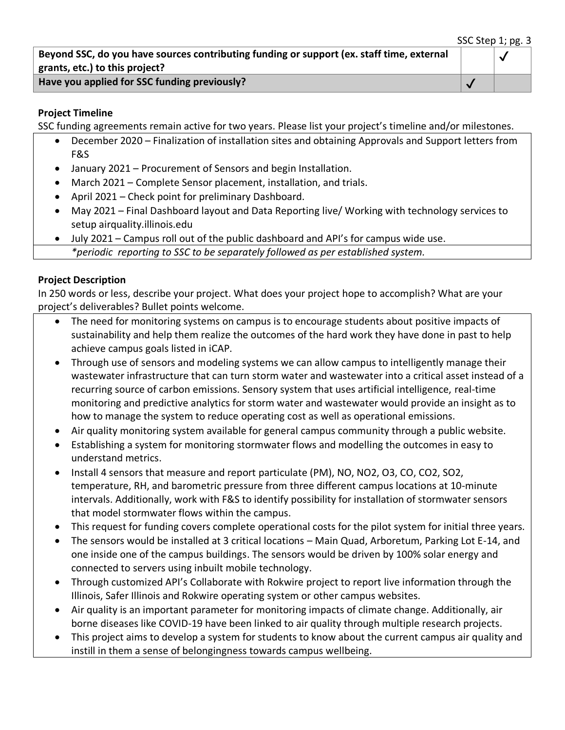| Beyond SSC, do you have sources contributing funding or support (ex. staff time, external<br>grants, etc.) to this project? |  |  |
|-----------------------------------------------------------------------------------------------------------------------------|--|--|
| Have you applied for SSC funding previously?                                                                                |  |  |

#### **Project Timeline**

SSC funding agreements remain active for two years. Please list your project's timeline and/or milestones.

- December 2020 Finalization of installation sites and obtaining Approvals and Support letters from F&S
- January 2021 Procurement of Sensors and begin Installation.
- March 2021 Complete Sensor placement, installation, and trials.
- April 2021 Check point for preliminary Dashboard.
- May 2021 Final Dashboard layout and Data Reporting live/ Working with technology services to setup airquality.illinois.edu
- July 2021 Campus roll out of the public dashboard and API's for campus wide use. *\*periodic reporting to SSC to be separately followed as per established system.*

#### **Project Description**

In 250 words or less, describe your project. What does your project hope to accomplish? What are your project's deliverables? Bullet points welcome.

- The need for monitoring systems on campus is to encourage students about positive impacts of sustainability and help them realize the outcomes of the hard work they have done in past to help achieve campus goals listed in iCAP.
- Through use of sensors and modeling systems we can allow campus to intelligently manage their wastewater infrastructure that can turn storm water and wastewater into a critical asset instead of a recurring source of carbon emissions. Sensory system that uses artificial intelligence, real-time monitoring and predictive analytics for storm water and wastewater would provide an insight as to how to manage the system to reduce operating cost as well as operational emissions.
- Air quality monitoring system available for general campus community through a public website.
- Establishing a system for monitoring stormwater flows and modelling the outcomes in easy to understand metrics.
- Install 4 sensors that measure and report particulate (PM), NO, NO2, O3, CO, CO2, SO2, temperature, RH, and barometric pressure from three different campus locations at 10-minute intervals. Additionally, work with F&S to identify possibility for installation of stormwater sensors that model stormwater flows within the campus.
- This request for funding covers complete operational costs for the pilot system for initial three years.
- The sensors would be installed at 3 critical locations Main Quad, Arboretum, Parking Lot E-14, and one inside one of the campus buildings. The sensors would be driven by 100% solar energy and connected to servers using inbuilt mobile technology.
- Through customized API's Collaborate with Rokwire project to report live information through the Illinois, Safer Illinois and Rokwire operating system or other campus websites.
- Air quality is an important parameter for monitoring impacts of climate change. Additionally, air borne diseases like COVID-19 have been linked to air quality through multiple research projects.
- This project aims to develop a system for students to know about the current campus air quality and instill in them a sense of belongingness towards campus wellbeing.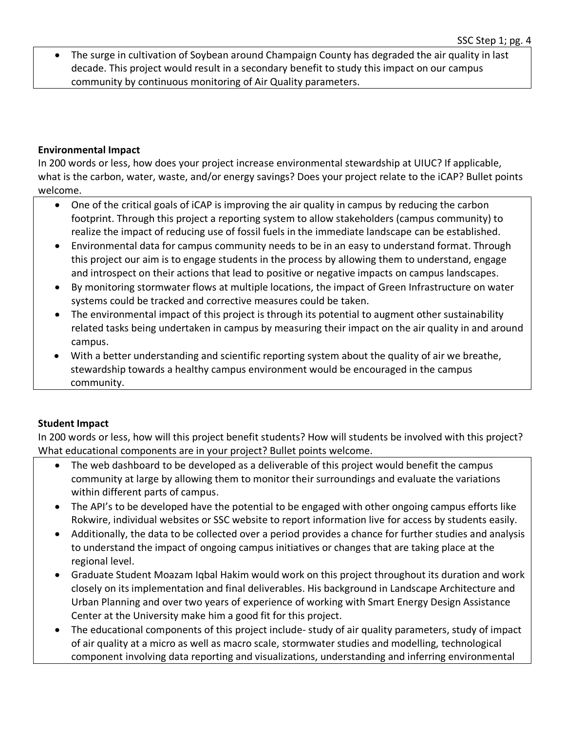• The surge in cultivation of Soybean around Champaign County has degraded the air quality in last decade. This project would result in a secondary benefit to study this impact on our campus community by continuous monitoring of Air Quality parameters.

#### **Environmental Impact**

In 200 words or less, how does your project increase environmental stewardship at UIUC? If applicable, what is the carbon, water, waste, and/or energy savings? Does your project relate to the iCAP? Bullet points welcome.

- One of the critical goals of iCAP is improving the air quality in campus by reducing the carbon footprint. Through this project a reporting system to allow stakeholders (campus community) to realize the impact of reducing use of fossil fuels in the immediate landscape can be established.
- Environmental data for campus community needs to be in an easy to understand format. Through this project our aim is to engage students in the process by allowing them to understand, engage and introspect on their actions that lead to positive or negative impacts on campus landscapes.
- By monitoring stormwater flows at multiple locations, the impact of Green Infrastructure on water systems could be tracked and corrective measures could be taken.
- The environmental impact of this project is through its potential to augment other sustainability related tasks being undertaken in campus by measuring their impact on the air quality in and around campus.
- With a better understanding and scientific reporting system about the quality of air we breathe, stewardship towards a healthy campus environment would be encouraged in the campus community.

#### **Student Impact**

In 200 words or less, how will this project benefit students? How will students be involved with this project? What educational components are in your project? Bullet points welcome.

- The web dashboard to be developed as a deliverable of this project would benefit the campus community at large by allowing them to monitor their surroundings and evaluate the variations within different parts of campus.
- The API's to be developed have the potential to be engaged with other ongoing campus efforts like Rokwire, individual websites or SSC website to report information live for access by students easily.
- Additionally, the data to be collected over a period provides a chance for further studies and analysis to understand the impact of ongoing campus initiatives or changes that are taking place at the regional level.
- Graduate Student Moazam Iqbal Hakim would work on this project throughout its duration and work closely on its implementation and final deliverables. His background in Landscape Architecture and Urban Planning and over two years of experience of working with Smart Energy Design Assistance Center at the University make him a good fit for this project.
- The educational components of this project include- study of air quality parameters, study of impact of air quality at a micro as well as macro scale, stormwater studies and modelling, technological component involving data reporting and visualizations, understanding and inferring environmental